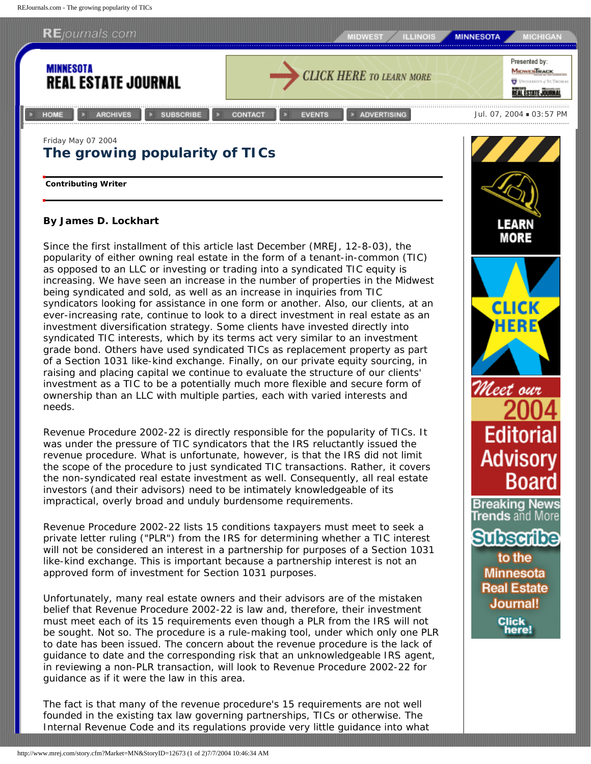REJournals.com - The growing popularity of TICs



being syndicated and sold, as well as an increase in inquiries from TIC syndicators looking for assistance in one form or another. Also, our clients, at an ever-increasing rate, continue to look to a direct investment in real estate as an investment diversification strategy. Some clients have invested directly into syndicated TIC interests, which by its terms act very similar to an investment grade bond. Others have used syndicated TICs as replacement property as part of a Section 1031 like-kind exchange. Finally, on our private equity sourcing, in raising and placing capital we continue to evaluate the structure of our clients' investment as a TIC to be a potentially much more flexible and secure form of ownership than an LLC with multiple parties, each with varied interests and needs.

Revenue Procedure 2002-22 is directly responsible for the popularity of TICs. It was under the pressure of TIC syndicators that the IRS reluctantly issued the revenue procedure. What is unfortunate, however, is that the IRS did not limit the scope of the procedure to just syndicated TIC transactions. Rather, it covers the non-syndicated real estate investment as well. Consequently, all real estate investors (and their advisors) need to be intimately knowledgeable of its impractical, overly broad and unduly burdensome requirements.

Revenue Procedure 2002-22 lists 15 conditions taxpayers must meet to seek a private letter ruling ("PLR") from the IRS for determining whether a TIC interest will not be considered an interest in a partnership for purposes of a Section 1031 like-kind exchange. This is important because a partnership interest is not an approved form of investment for Section 1031 purposes.

Unfortunately, many real estate owners and their advisors are of the mistaken belief that Revenue Procedure 2002-22 is law and, therefore, their investment must meet each of its 15 requirements even though a PLR from the IRS will not be sought. Not so. The procedure is a rule-making tool, under which only one PLR to date has been issued. The concern about the revenue procedure is the lack of guidance to date and the corresponding risk that an unknowledgeable IRS agent, in reviewing a non-PLR transaction, will look to Revenue Procedure 2002-22 for guidance as if it were the law in this area.

The fact is that many of the revenue procedure's 15 requirements are not well founded in the existing tax law governing partnerships, TICs or otherwise. The Internal Revenue Code and its regulations provide very little guidance into what



to the **Minnesota Real Estate Journal! Click** here!